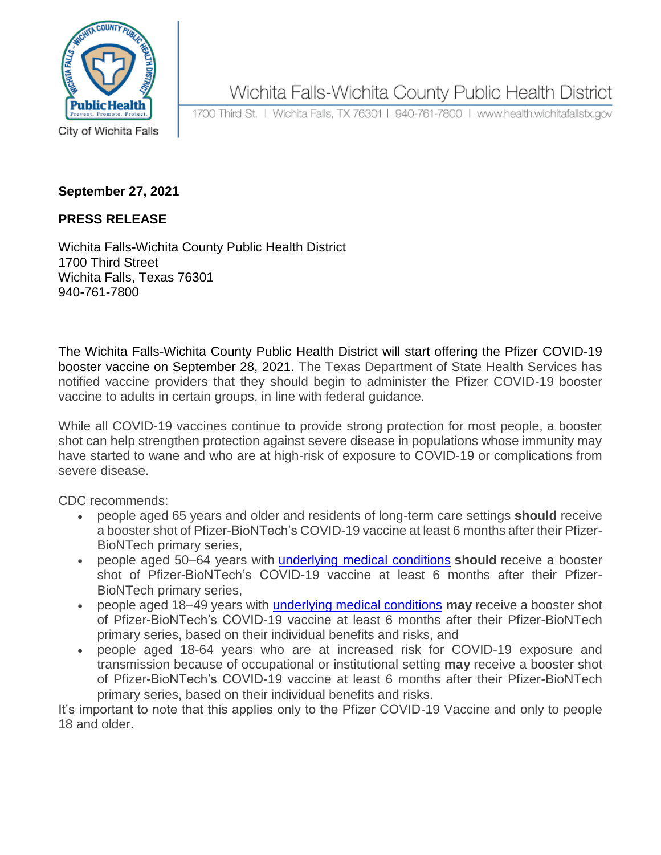

Wichita Falls-Wichita County Public Health District

1700 Third St. | Wichita Falls, TX 76301 | 940-761-7800 | www.health.wichitafallstx.gov

City of Wichita Falls

## **September 27, 2021**

## **PRESS RELEASE**

Wichita Falls-Wichita County Public Health District 1700 Third Street Wichita Falls, Texas 76301 940-761-7800

The Wichita Falls-Wichita County Public Health District will start offering the Pfizer COVID-19 booster vaccine on September 28, 2021. The Texas Department of State Health Services has notified vaccine providers that they should begin to administer the Pfizer COVID-19 booster vaccine to adults in certain groups, in line with federal guidance.

While all COVID-19 vaccines continue to provide strong protection for most people, a booster shot can help strengthen protection against severe disease in populations whose immunity may have started to wane and who are at high-risk of exposure to COVID-19 or complications from severe disease.

CDC recommends:

- people aged 65 years and older and residents of long-term care settings **should** receive a booster shot of Pfizer-BioNTech's COVID-19 vaccine at least 6 months after their Pfizer-BioNTech primary series,
- people aged 50–64 years with [underlying medical conditions](https://lnks.gd/l/eyJhbGciOiJIUzI1NiJ9.eyJidWxsZXRpbl9saW5rX2lkIjoxMDAsInVyaSI6ImJwMjpjbGljayIsImJ1bGxldGluX2lkIjoiMjAyMTA5MjQuNDY0NDkwNDEiLCJ1cmwiOiJodHRwczovL3d3dy5jZGMuZ292L2Nvcm9uYXZpcnVzLzIwMTktbmNvdi9uZWVkLWV4dHJhLXByZWNhdXRpb25zL3Blb3BsZS13aXRoLW1lZGljYWwtY29uZGl0aW9ucy5odG1sIn0._ctR0X3ZP5pG0Gr6yaPpwWFpVPtZYAQ1t4djjGLG9KQ/s/152235815/br/112906548524-l) **should** receive a booster shot of Pfizer-BioNTech's COVID-19 vaccine at least 6 months after their Pfizer-BioNTech primary series,
- people aged 18–49 years with [underlying medical conditions](https://lnks.gd/l/eyJhbGciOiJIUzI1NiJ9.eyJidWxsZXRpbl9saW5rX2lkIjoxMDEsInVyaSI6ImJwMjpjbGljayIsImJ1bGxldGluX2lkIjoiMjAyMTA5MjQuNDY0NDkwNDEiLCJ1cmwiOiJodHRwczovL3d3dy5jZGMuZ292L2Nvcm9uYXZpcnVzLzIwMTktbmNvdi9uZWVkLWV4dHJhLXByZWNhdXRpb25zL3Blb3BsZS13aXRoLW1lZGljYWwtY29uZGl0aW9ucy5odG1sIn0.3g94-7QfOL8KtGEVMHPTnHvq2yOFt0ENzx5Kfi95DiE/s/152235815/br/112906548524-l) **may** receive a booster shot of Pfizer-BioNTech's COVID-19 vaccine at least 6 months after their Pfizer-BioNTech primary series, based on their individual benefits and risks, and
- people aged 18-64 years who are at increased risk for COVID-19 exposure and transmission because of occupational or institutional setting **may** receive a booster shot of Pfizer-BioNTech's COVID-19 vaccine at least 6 months after their Pfizer-BioNTech primary series, based on their individual benefits and risks.

It's important to note that this applies only to the Pfizer COVID-19 Vaccine and only to people 18 and older.